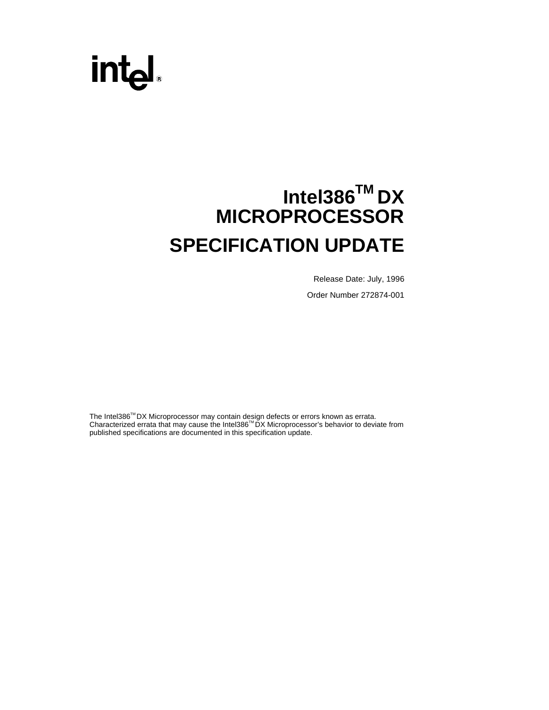# int<sub>el</sub>

# **Intel386TM DX MICROPROCESSOR SPECIFICATION UPDATE**

Release Date: July, 1996 Order Number 272874-001

The Intel386™DX Microprocessor may contain design defects or errors known as errata. Characterized errata that may cause the Intel386™DX Microprocessor's behavior to deviate from published specifications are documented in this specification update.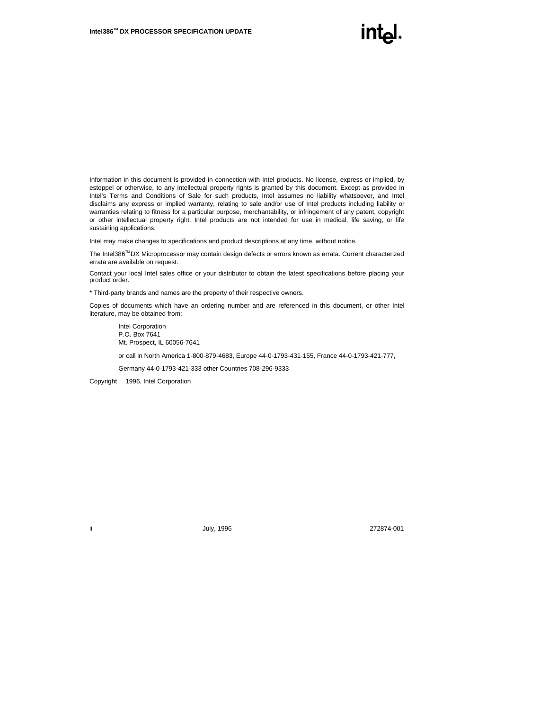Information in this document is provided in connection with Intel products. No license, express or implied, by estoppel or otherwise, to any intellectual property rights is granted by this document. Except as provided in Intel's Terms and Conditions of Sale for such products, Intel assumes no liability whatsoever, and Intel disclaims any express or implied warranty, relating to sale and/or use of Intel products including liability or warranties relating to fitness for a particular purpose, merchantability, or infringement of any patent, copyright or other intellectual property right. Intel products are not intended for use in medical, life saving, or life sustaining applications.

Intel may make changes to specifications and product descriptions at any time, without notice.

The Intel386™ DX Microprocessor may contain design defects or errors known as errata. Current characterized errata are available on request.

Contact your local Intel sales office or your distributor to obtain the latest specifications before placing your product order.

\* Third-party brands and names are the property of their respective owners.

Copies of documents which have an ordering number and are referenced in this document, or other Intel literature, may be obtained from:

Intel Corporation P.O. Box 7641 Mt. Prospect, IL 60056-7641

or call in North America 1-800-879-4683, Europe 44-0-1793-431-155, France 44-0-1793-421-777,

Germany 44-0-1793-421-333 other Countries 708-296-9333

Copyright © 1996, Intel Corporation

ii July, 1996 272874-001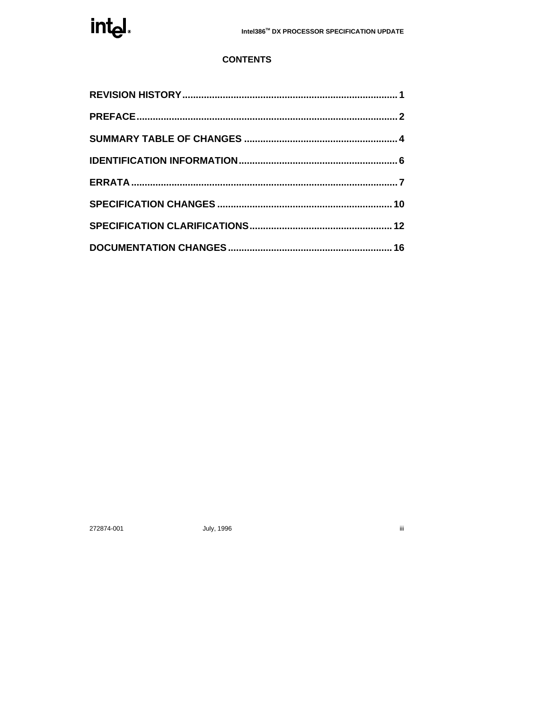

# **CONTENTS**

272874-001

July, 1996

 $\overline{\text{iii}}$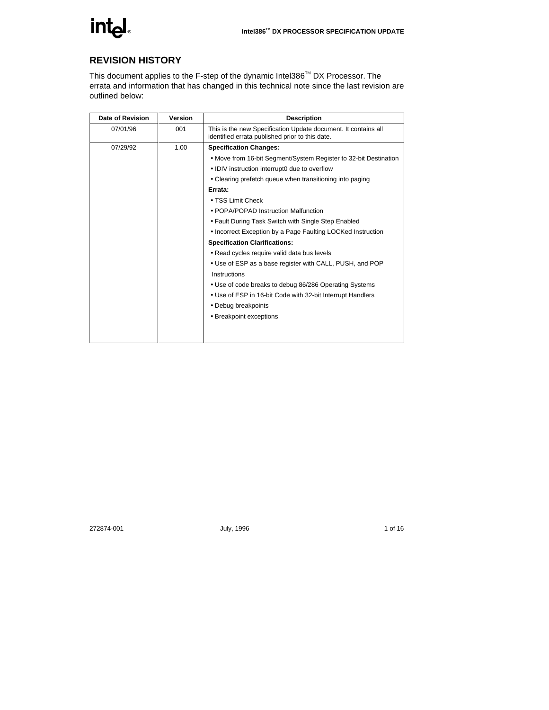

# **REVISION HISTORY**

This document applies to the F-step of the dynamic Intel386™ DX Processor. The errata and information that has changed in this technical note since the last revision are outlined below:

| <b>Date of Revision</b> | <b>Version</b> | <b>Description</b>                                                                                                |
|-------------------------|----------------|-------------------------------------------------------------------------------------------------------------------|
| 07/01/96                | 001            | This is the new Specification Update document. It contains all<br>identified errata published prior to this date. |
| 07/29/92                | 1.00           | <b>Specification Changes:</b>                                                                                     |
|                         |                | • Move from 16-bit Segment/System Register to 32-bit Destination                                                  |
|                         |                | • IDIV instruction interrupt0 due to overflow                                                                     |
|                         |                | • Clearing prefetch queue when transitioning into paging                                                          |
|                         |                | Errata:                                                                                                           |
|                         |                | • TSS Limit Check                                                                                                 |
|                         |                | • POPA/POPAD Instruction Malfunction                                                                              |
|                         |                | • Fault During Task Switch with Single Step Enabled                                                               |
|                         |                | • Incorrect Exception by a Page Faulting LOCKed Instruction                                                       |
|                         |                | <b>Specification Clarifications:</b>                                                                              |
|                         |                | • Read cycles require valid data bus levels                                                                       |
|                         |                | • Use of ESP as a base register with CALL, PUSH, and POP                                                          |
|                         |                | Instructions                                                                                                      |
|                         |                | • Use of code breaks to debug 86/286 Operating Systems                                                            |
|                         |                | • Use of ESP in 16-bit Code with 32-bit Interrupt Handlers                                                        |
|                         |                | • Debug breakpoints                                                                                               |
|                         |                | • Breakpoint exceptions                                                                                           |
|                         |                |                                                                                                                   |
|                         |                |                                                                                                                   |

272874-001 **July, 1996** July, 1996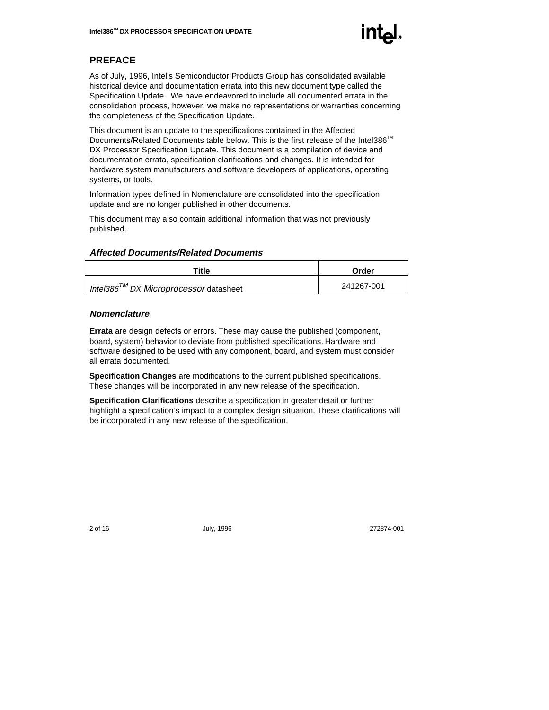

# **PREFACE**

As of July, 1996, Intel's Semiconductor Products Group has consolidated available historical device and documentation errata into this new document type called the Specification Update. We have endeavored to include all documented errata in the consolidation process, however, we make no representations or warranties concerning the completeness of the Specification Update.

This document is an update to the specifications contained in the Affected Documents/Related Documents table below. This is the first release of the Intel386™ DX Processor Specification Update. This document is a compilation of device and documentation errata, specification clarifications and changes. It is intended for hardware system manufacturers and software developers of applications, operating systems, or tools.

Information types defined in Nomenclature are consolidated into the specification update and are no longer published in other documents.

This document may also contain additional information that was not previously published.

#### **Affected Documents/Related Documents**

| Title                                        | Order      |
|----------------------------------------------|------------|
| Intel386 $^{7M}$ DX Microprocessor datasheet | 241267-001 |

#### **Nomenclature**

**Errata** are design defects or errors. These may cause the published (component, board, system) behavior to deviate from published specifications. Hardware and software designed to be used with any component, board, and system must consider all errata documented.

**Specification Changes** are modifications to the current published specifications. These changes will be incorporated in any new release of the specification.

**Specification Clarifications** describe a specification in greater detail or further highlight a specification's impact to a complex design situation. These clarifications will be incorporated in any new release of the specification.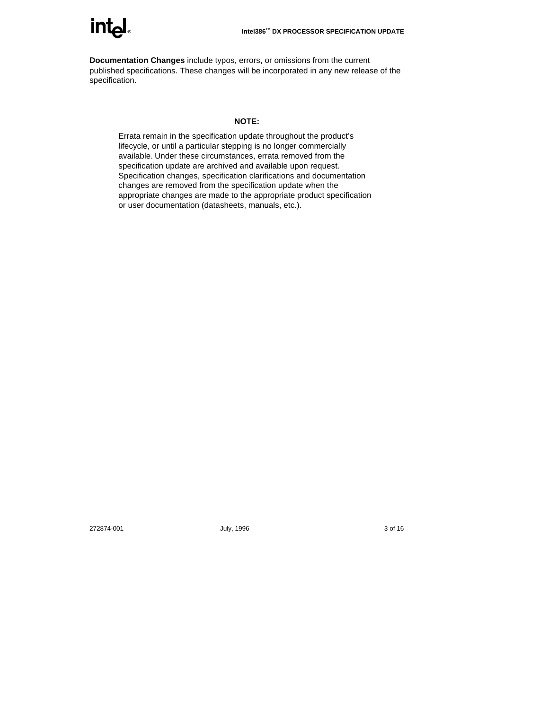

**Documentation Changes** include typos, errors, or omissions from the current published specifications. These changes will be incorporated in any new release of the specification.

#### **NOTE:**

Errata remain in the specification update throughout the product's lifecycle, or until a particular stepping is no longer commercially available. Under these circumstances, errata removed from the specification update are archived and available upon request. Specification changes, specification clarifications and documentation changes are removed from the specification update when the appropriate changes are made to the appropriate product specification or user documentation (datasheets, manuals, etc.).

272874-001 July, 1996 3 of 16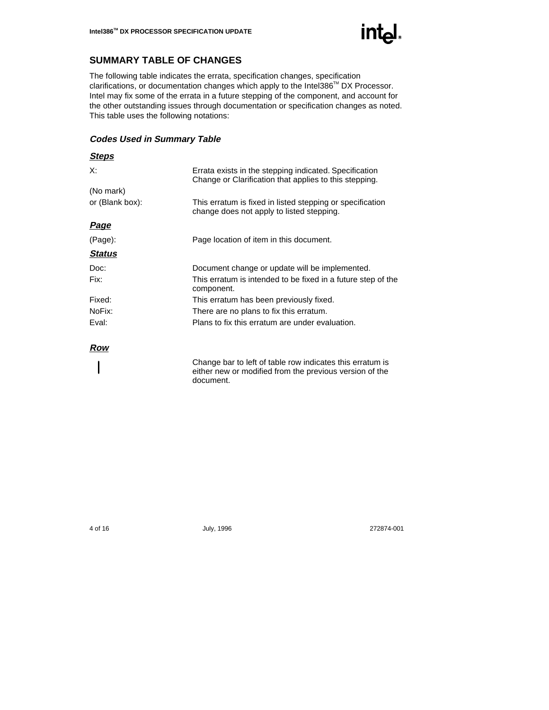

# **SUMMARY TABLE OF CHANGES**

The following table indicates the errata, specification changes, specification clarifications, or documentation changes which apply to the Intel386™ DX Processor. Intel may fix some of the errata in a future stepping of the component, and account for the other outstanding issues through documentation or specification changes as noted. This table uses the following notations:

#### **Codes Used in Summary Table**

| <u>Steps</u>    |                                                                                                                      |
|-----------------|----------------------------------------------------------------------------------------------------------------------|
| X:              | Errata exists in the stepping indicated. Specification<br>Change or Clarification that applies to this stepping.     |
| (No mark)       |                                                                                                                      |
| or (Blank box): | This erratum is fixed in listed stepping or specification<br>change does not apply to listed stepping.               |
| <u>Page</u>     |                                                                                                                      |
| (Page):         | Page location of item in this document.                                                                              |
| <b>Status</b>   |                                                                                                                      |
| Doc:            | Document change or update will be implemented.                                                                       |
| Fix:            | This erratum is intended to be fixed in a future step of the<br>component.                                           |
| Fixed:          | This erratum has been previously fixed.                                                                              |
| NoFix:          | There are no plans to fix this erratum.                                                                              |
| Eval:           | Plans to fix this erratum are under evaluation.                                                                      |
| Row             |                                                                                                                      |
|                 | Change bar to left of table row indicates this erratum is<br>either new or modified from the previous version of the |

document.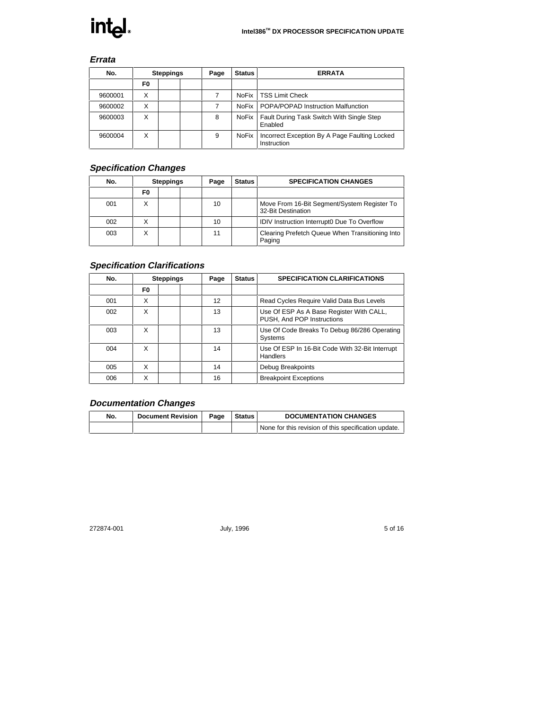

# **Errata**

| No.     |    | <b>Steppings</b> | Page | <b>Status</b> | <b>ERRATA</b>                                                |
|---------|----|------------------|------|---------------|--------------------------------------------------------------|
|         | F0 |                  |      |               |                                                              |
| 9600001 | Χ  |                  |      | NoFix         | <b>TSS Limit Check</b>                                       |
| 9600002 | X  |                  |      | <b>NoFix</b>  | POPA/POPAD Instruction Malfunction                           |
| 9600003 | X  |                  | 8    | <b>NoFix</b>  | Fault During Task Switch With Single Step<br>Enabled         |
| 9600004 | X  |                  | 9    | <b>NoFix</b>  | Incorrect Exception By A Page Faulting Locked<br>Instruction |

# **Specification Changes**

| No. |    | <b>Steppings</b> | Page | <b>Status</b> | <b>SPECIFICATION CHANGES</b>                                      |
|-----|----|------------------|------|---------------|-------------------------------------------------------------------|
|     | F0 |                  |      |               |                                                                   |
| 001 |    |                  | 10   |               | Move From 16-Bit Segment/System Register To<br>32-Bit Destination |
| 002 |    |                  | 10   |               | <b>IDIV Instruction Interrupt0 Due To Overflow</b>                |
| 003 |    |                  | 11   |               | Clearing Prefetch Queue When Transitioning Into<br>Paging         |

# **Specification Clarifications**

| No. |    | <b>Steppings</b> | Page | <b>Status</b> | <b>SPECIFICATION CLARIFICATIONS</b>                                    |
|-----|----|------------------|------|---------------|------------------------------------------------------------------------|
|     | F0 |                  |      |               |                                                                        |
| 001 | X  |                  | 12   |               | Read Cycles Require Valid Data Bus Levels                              |
| 002 | X  |                  | 13   |               | Use Of ESP As A Base Register With CALL,<br>PUSH, And POP Instructions |
| 003 | X  |                  | 13   |               | Use Of Code Breaks To Debug 86/286 Operating<br>Systems                |
| 004 | X  |                  | 14   |               | Use Of ESP In 16-Bit Code With 32-Bit Interrupt<br>Handlers            |
| 005 | X  |                  | 14   |               | Debug Breakpoints                                                      |
| 006 | X  |                  | 16   |               | <b>Breakpoint Exceptions</b>                                           |

# **Documentation Changes**

| No. | <b>Document Revision</b> | Page | <b>DOCUMENTATION CHANGES</b>                         |
|-----|--------------------------|------|------------------------------------------------------|
|     |                          |      | None for this revision of this specification update. |

272874-001 July, 1996 July, 1996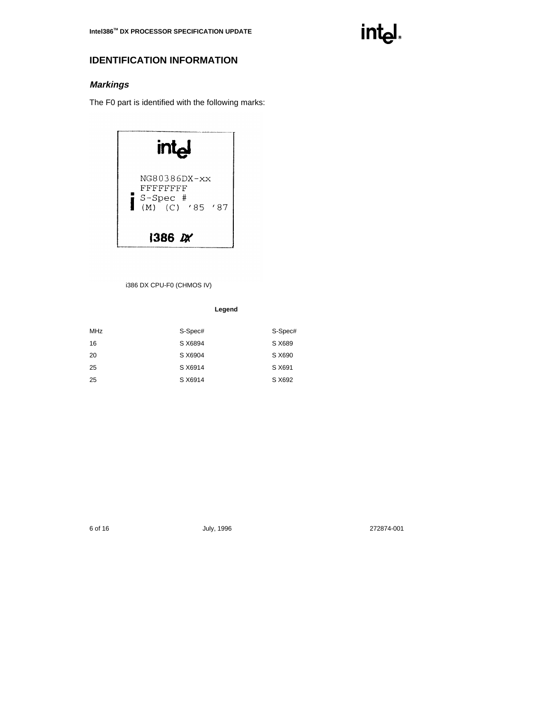

# **IDENTIFICATION INFORMATION**

# **Markings**

The F0 part is identified with the following marks:



#### i386 DX CPU-F0 (CHMOS IV)

**Legend**

| <b>MHz</b> | S-Spec# | S-Spec# |
|------------|---------|---------|
| 16         | S X6894 | S X689  |
| 20         | S X6904 | S X690  |
| 25         | S X6914 | S X691  |
| 25         | S X6914 | S X692  |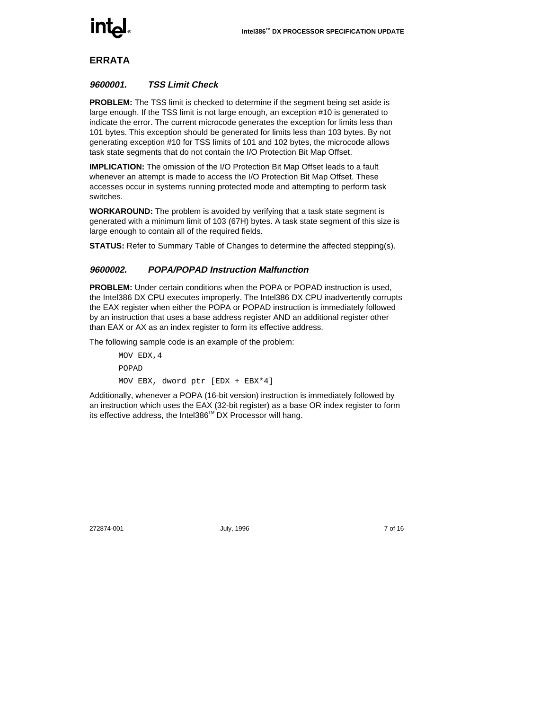

# **ERRATA**

#### **9600001. TSS Limit Check**

**PROBLEM:** The TSS limit is checked to determine if the segment being set aside is large enough. If the TSS limit is not large enough, an exception #10 is generated to indicate the error. The current microcode generates the exception for limits less than 101 bytes. This exception should be generated for limits less than 103 bytes. By not generating exception #10 for TSS limits of 101 and 102 bytes, the microcode allows task state segments that do not contain the I/O Protection Bit Map Offset.

**IMPLICATION:** The omission of the I/O Protection Bit Map Offset leads to a fault whenever an attempt is made to access the I/O Protection Bit Map Offset. These accesses occur in systems running protected mode and attempting to perform task switches.

**WORKAROUND:** The problem is avoided by verifying that a task state segment is generated with a minimum limit of 103 (67H) bytes. A task state segment of this size is large enough to contain all of the required fields.

**STATUS:** Refer to Summary Table of Changes to determine the affected stepping(s).

#### **9600002. POPA/POPAD Instruction Malfunction**

**PROBLEM:** Under certain conditions when the POPA or POPAD instruction is used, the Intel386 DX CPU executes improperly. The Intel386 DX CPU inadvertently corrupts the EAX register when either the POPA or POPAD instruction is immediately followed by an instruction that uses a base address register AND an additional register other than EAX or AX as an index register to form its effective address.

The following sample code is an example of the problem:

MOV EDX,4 POPAD MOV EBX, dword ptr [EDX + EBX\*4]

Additionally, whenever a POPA (16-bit version) instruction is immediately followed by an instruction which uses the EAX (32-bit register) as a base OR index register to form its effective address, the Intel386™ DX Processor will hang.

272874-001 July, 1996 7 of 16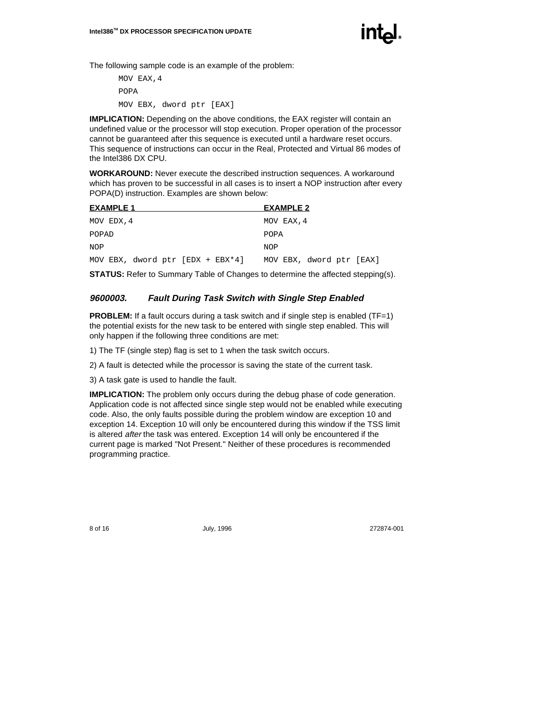

The following sample code is an example of the problem:

MOV EAX,4 POPA MOV EBX, dword ptr [EAX]

**IMPLICATION:** Depending on the above conditions, the EAX register will contain an undefined value or the processor will stop execution. Proper operation of the processor cannot be guaranteed after this sequence is executed until a hardware reset occurs. This sequence of instructions can occur in the Real, Protected and Virtual 86 modes of the Intel386 DX CPU.

**WORKAROUND:** Never execute the described instruction sequences. A workaround which has proven to be successful in all cases is to insert a NOP instruction after every POPA(D) instruction. Examples are shown below:

| <b>EXAMPLE 1</b>                 | <b>EXAMPLE 2</b>         |
|----------------------------------|--------------------------|
| MOV EDX, 4                       | MOV EAX, 4               |
| POPAD                            | <b>POPA</b>              |
| NOP                              | <b>NOP</b>               |
| MOV EBX, dword ptr [EDX + EBX*4] | MOV EBX, dword ptr [EAX] |

**STATUS:** Refer to Summary Table of Changes to determine the affected stepping(s).

#### **9600003. Fault During Task Switch with Single Step Enabled**

**PROBLEM:** If a fault occurs during a task switch and if single step is enabled (TF=1) the potential exists for the new task to be entered with single step enabled. This will only happen if the following three conditions are met:

1) The TF (single step) flag is set to 1 when the task switch occurs.

2) A fault is detected while the processor is saving the state of the current task.

3) A task gate is used to handle the fault.

**IMPLICATION:** The problem only occurs during the debug phase of code generation. Application code is not affected since single step would not be enabled while executing code. Also, the only faults possible during the problem window are exception 10 and exception 14. Exception 10 will only be encountered during this window if the TSS limit is altered after the task was entered. Exception 14 will only be encountered if the current page is marked "Not Present." Neither of these procedures is recommended programming practice.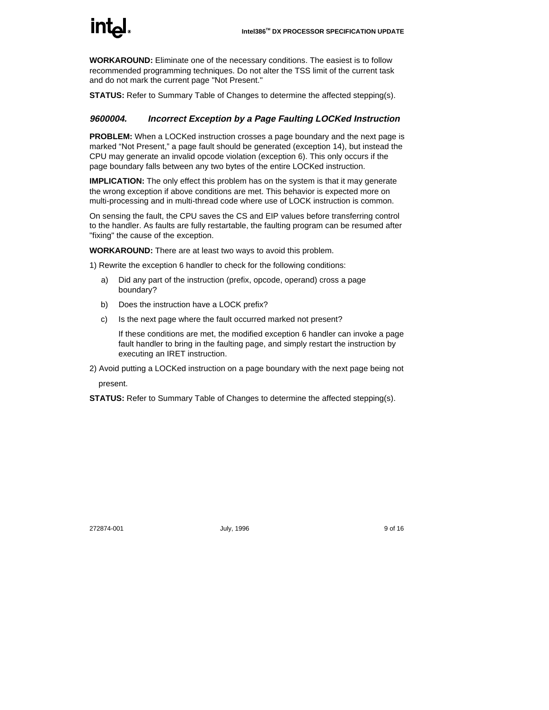

**WORKAROUND:** Eliminate one of the necessary conditions. The easiest is to follow recommended programming techniques. Do not alter the TSS limit of the current task and do not mark the current page "Not Present."

**STATUS:** Refer to Summary Table of Changes to determine the affected stepping(s).

#### **9600004. Incorrect Exception by a Page Faulting LOCKed Instruction**

**PROBLEM:** When a LOCKed instruction crosses a page boundary and the next page is marked "Not Present," a page fault should be generated (exception 14), but instead the CPU may generate an invalid opcode violation (exception 6). This only occurs if the page boundary falls between any two bytes of the entire LOCKed instruction.

**IMPLICATION:** The only effect this problem has on the system is that it may generate the wrong exception if above conditions are met. This behavior is expected more on multi-processing and in multi-thread code where use of LOCK instruction is common.

On sensing the fault, the CPU saves the CS and EIP values before transferring control to the handler. As faults are fully restartable, the faulting program can be resumed after "fixing" the cause of the exception.

**WORKAROUND:** There are at least two ways to avoid this problem.

1) Rewrite the exception 6 handler to check for the following conditions:

- a) Did any part of the instruction (prefix, opcode, operand) cross a page boundary?
- b) Does the instruction have a LOCK prefix?
- c) Is the next page where the fault occurred marked not present?

If these conditions are met, the modified exception 6 handler can invoke a page fault handler to bring in the faulting page, and simply restart the instruction by executing an IRET instruction.

2) Avoid putting a LOCKed instruction on a page boundary with the next page being not

present.

**STATUS:** Refer to Summary Table of Changes to determine the affected stepping(s).

272874-001 July, 1996 9 of 16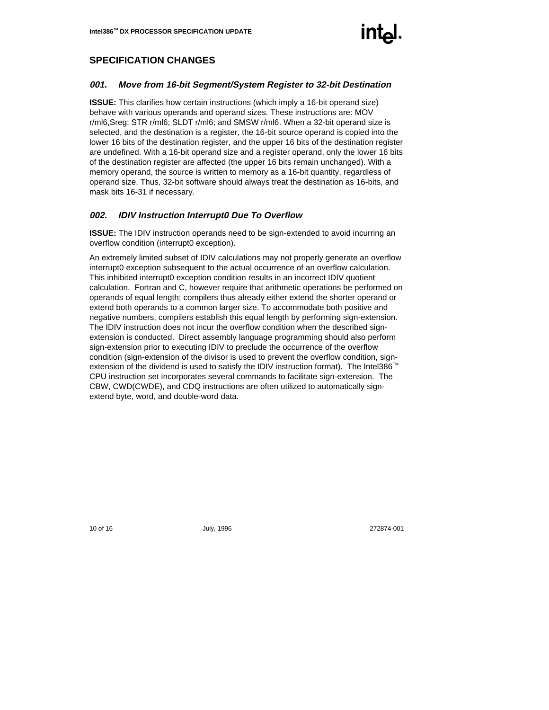

# **SPECIFICATION CHANGES**

#### **001. Move from 16-bit Segment/System Register to 32-bit Destination**

**ISSUE:** This clarifies how certain instructions (which imply a 16-bit operand size) behave with various operands and operand sizes. These instructions are: MOV r/ml6,Sreg; STR r/ml6; SLDT r/ml6; and SMSW r/ml6. When a 32-bit operand size is selected, and the destination is a register, the 16-bit source operand is copied into the lower 16 bits of the destination register, and the upper 16 bits of the destination register are undefined. With a 16-bit operand size and a register operand, only the lower 16 bits of the destination register are affected (the upper 16 bits remain unchanged). With a memory operand, the source is written to memory as a 16-bit quantity, regardless of operand size. Thus, 32-bit software should always treat the destination as 16-bits, and mask bits 16-31 if necessary.

#### **002. IDIV Instruction Interrupt0 Due To Overflow**

**ISSUE:** The IDIV instruction operands need to be sign-extended to avoid incurring an overflow condition (interrupt0 exception).

An extremely limited subset of IDIV calculations may not properly generate an overflow interrupt0 exception subsequent to the actual occurrence of an overflow calculation. This inhibited interrupt0 exception condition results in an incorrect IDIV quotient calculation. Fortran and C, however require that arithmetic operations be performed on operands of equal length; compilers thus already either extend the shorter operand or extend both operands to a common larger size. To accommodate both positive and negative numbers, compilers establish this equal length by performing sign-extension. The IDIV instruction does not incur the overflow condition when the described signextension is conducted. Direct assembly language programming should also perform sign-extension prior to executing IDIV to preclude the occurrence of the overflow condition (sign-extension of the divisor is used to prevent the overflow condition, signextension of the dividend is used to satisfy the IDIV instruction format). The Intel386<sup>TM</sup> CPU instruction set incorporates several commands to facilitate sign-extension. The CBW, CWD(CWDE), and CDQ instructions are often utilized to automatically signextend byte, word, and double-word data.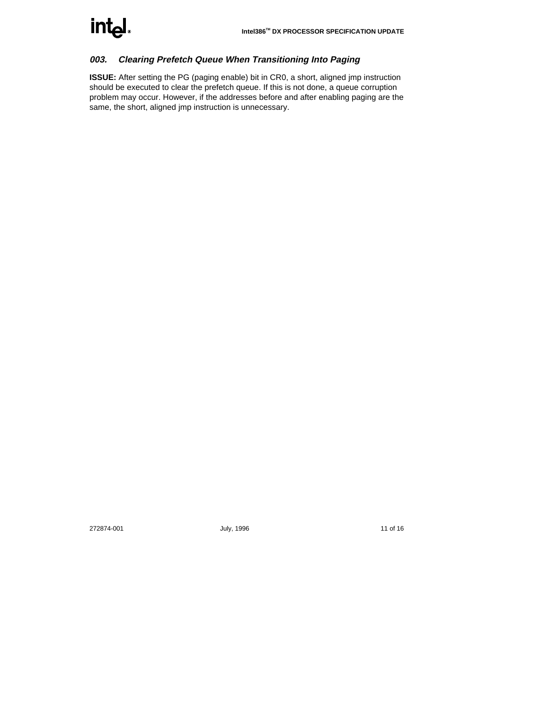

# **003. Clearing Prefetch Queue When Transitioning Into Paging**

**ISSUE:** After setting the PG (paging enable) bit in CR0, a short, aligned jmp instruction should be executed to clear the prefetch queue. If this is not done, a queue corruption problem may occur. However, if the addresses before and after enabling paging are the same, the short, aligned jmp instruction is unnecessary.

272874-001 July, 1996 **11 of 16**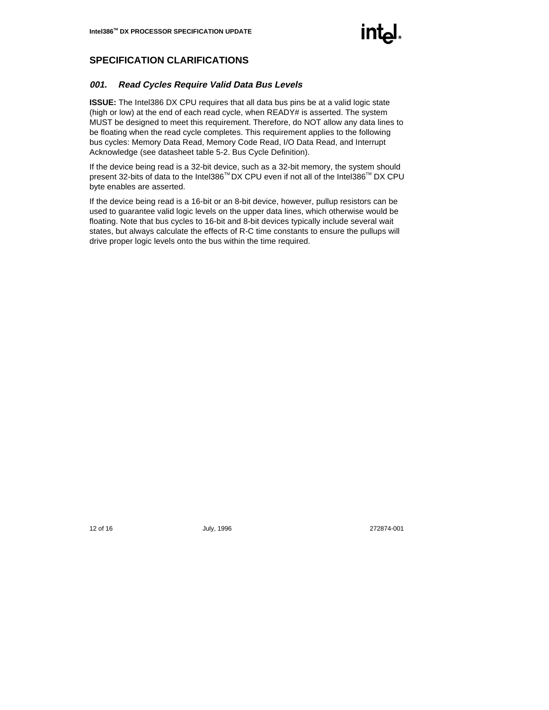

# **SPECIFICATION CLARIFICATIONS**

#### **001. Read Cycles Require Valid Data Bus Levels**

**ISSUE:** The Intel386 DX CPU requires that all data bus pins be at a valid logic state (high or low) at the end of each read cycle, when READY# is asserted. The system MUST be designed to meet this requirement. Therefore, do NOT allow any data lines to be floating when the read cycle completes. This requirement applies to the following bus cycles: Memory Data Read, Memory Code Read, I/O Data Read, and Interrupt Acknowledge (see datasheet table 5-2. Bus Cycle Definition).

If the device being read is a 32-bit device, such as a 32-bit memory, the system should present 32-bits of data to the Intel386™ DX CPU even if not all of the Intel386™ DX CPU byte enables are asserted.

If the device being read is a 16-bit or an 8-bit device, however, pullup resistors can be used to guarantee valid logic levels on the upper data lines, which otherwise would be floating. Note that bus cycles to 16-bit and 8-bit devices typically include several wait states, but always calculate the effects of R-C time constants to ensure the pullups will drive proper logic levels onto the bus within the time required.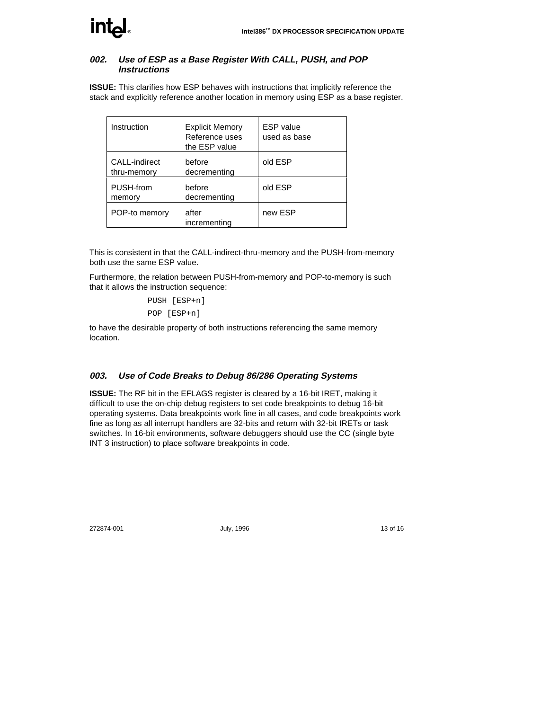

#### **002. Use of ESP as a Base Register With CALL, PUSH, and POP Instructions**

**ISSUE:** This clarifies how ESP behaves with instructions that implicitly reference the stack and explicitly reference another location in memory using ESP as a base register.

| Instruction                  | <b>Explicit Memory</b><br>Reference uses<br>the ESP value | <b>ESP</b> value<br>used as base |
|------------------------------|-----------------------------------------------------------|----------------------------------|
| CALL-indirect<br>thru-memory | before<br>decrementing                                    | old ESP                          |
| PUSH-from<br>memory          | before<br>decrementing                                    | old ESP                          |
| POP-to memory                | after<br>incrementing                                     | new ESP                          |

This is consistent in that the CALL-indirect-thru-memory and the PUSH-from-memory both use the same ESP value.

Furthermore, the relation between PUSH-from-memory and POP-to-memory is such that it allows the instruction sequence:

> PUSH [ESP+n] POP [ESP+n]

to have the desirable property of both instructions referencing the same memory location.

#### **003. Use of Code Breaks to Debug 86/286 Operating Systems**

**ISSUE:** The RF bit in the EFLAGS register is cleared by a 16-bit IRET, making it difficult to use the on-chip debug registers to set code breakpoints to debug 16-bit operating systems. Data breakpoints work fine in all cases, and code breakpoints work fine as long as all interrupt handlers are 32-bits and return with 32-bit IRETs or task switches. In 16-bit environments, software debuggers should use the CC (single byte INT 3 instruction) to place software breakpoints in code.

272874-001 July, 1996 13 of 16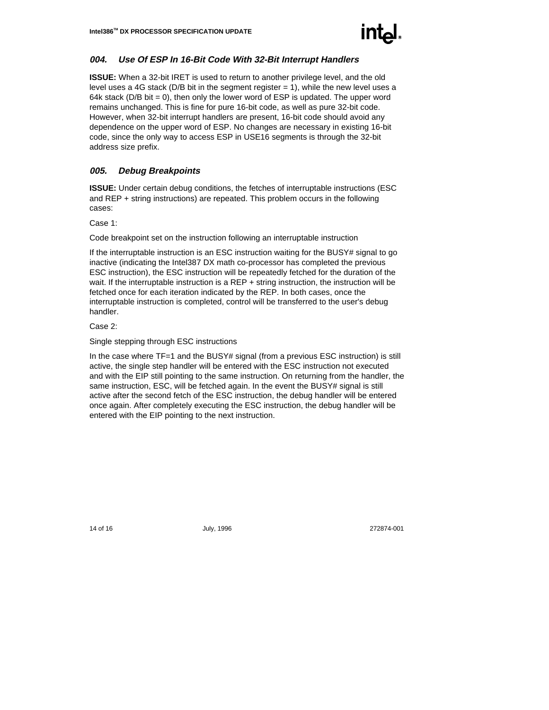

#### **004. Use Of ESP In 16-Bit Code With 32-Bit Interrupt Handlers**

**ISSUE:** When a 32-bit IRET is used to return to another privilege level, and the old level uses a 4G stack ( $D/B$  bit in the segment register  $= 1$ ), while the new level uses a 64k stack ( $D/B$  bit = 0), then only the lower word of ESP is updated. The upper word remains unchanged. This is fine for pure 16-bit code, as well as pure 32-bit code. However, when 32-bit interrupt handlers are present, 16-bit code should avoid any dependence on the upper word of ESP. No changes are necessary in existing 16-bit code, since the only way to access ESP in USE16 segments is through the 32-bit address size prefix.

#### **005. Debug Breakpoints**

**ISSUE:** Under certain debug conditions, the fetches of interruptable instructions (ESC and REP + string instructions) are repeated. This problem occurs in the following cases:

Case 1:

Code breakpoint set on the instruction following an interruptable instruction

If the interruptable instruction is an ESC instruction waiting for the BUSY# signal to go inactive (indicating the Intel387 DX math co-processor has completed the previous ESC instruction), the ESC instruction will be repeatedly fetched for the duration of the wait. If the interruptable instruction is a REP + string instruction, the instruction will be fetched once for each iteration indicated by the REP. In both cases, once the interruptable instruction is completed, control will be transferred to the user's debug handler.

Case 2:

Single stepping through ESC instructions

In the case where TF=1 and the BUSY# signal (from a previous ESC instruction) is still active, the single step handler will be entered with the ESC instruction not executed and with the EIP still pointing to the same instruction. On returning from the handler, the same instruction, ESC, will be fetched again. In the event the BUSY# signal is still active after the second fetch of the ESC instruction, the debug handler will be entered once again. After completely executing the ESC instruction, the debug handler will be entered with the EIP pointing to the next instruction.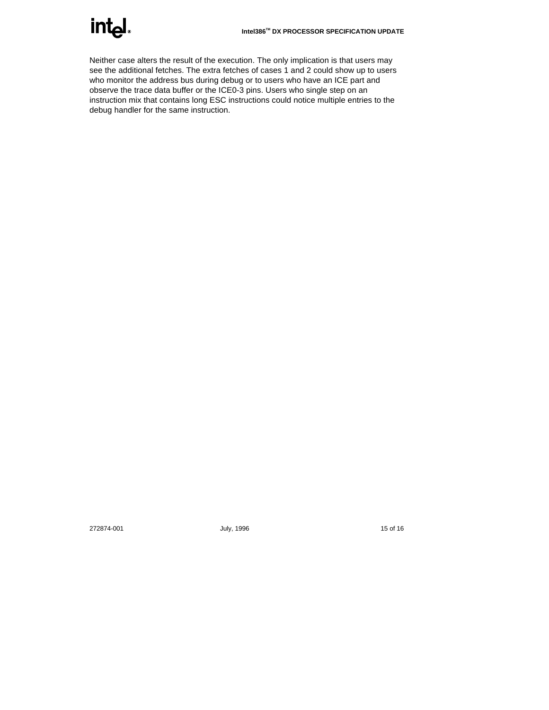

Neither case alters the result of the execution. The only implication is that users may see the additional fetches. The extra fetches of cases 1 and 2 could show up to users who monitor the address bus during debug or to users who have an ICE part and observe the trace data buffer or the ICE0-3 pins. Users who single step on an instruction mix that contains long ESC instructions could notice multiple entries to the debug handler for the same instruction.

272874-001 **July, 1996 15 of 16**